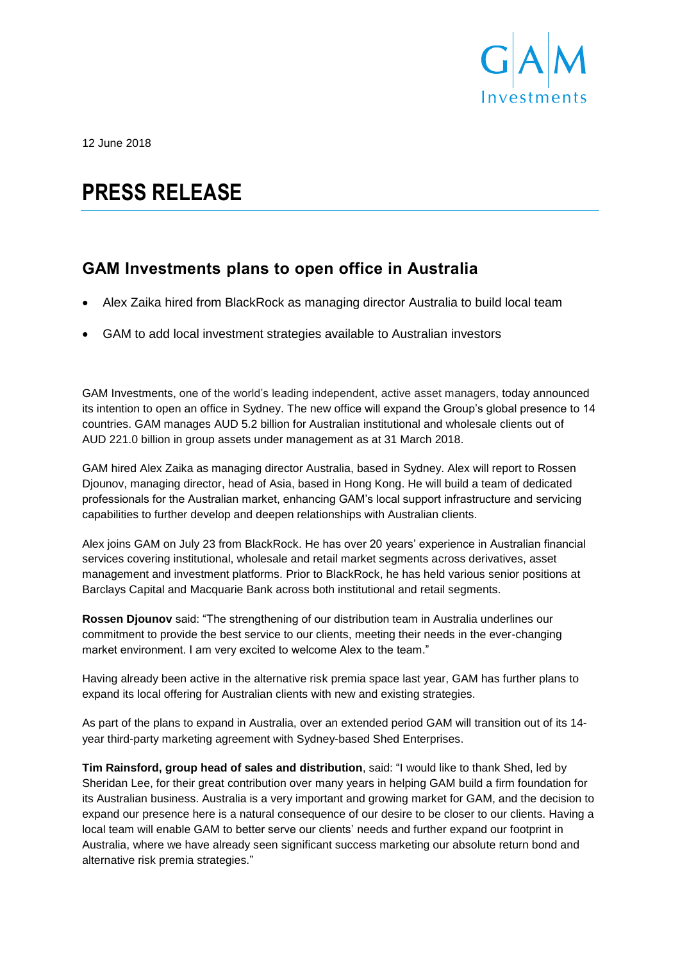

12 June 2018

# **PRESS RELEASE**

## **GAM Investments plans to open office in Australia**

- Alex Zaika hired from BlackRock as managing director Australia to build local team
- GAM to add local investment strategies available to Australian investors

GAM Investments, one of the world's leading independent, active asset managers, today announced its intention to open an office in Sydney. The new office will expand the Group's global presence to 14 countries. GAM manages AUD 5.2 billion for Australian institutional and wholesale clients out of AUD 221.0 billion in group assets under management as at 31 March 2018.

GAM hired Alex Zaika as managing director Australia, based in Sydney. Alex will report to Rossen Djounov, managing director, head of Asia, based in Hong Kong. He will build a team of dedicated professionals for the Australian market, enhancing GAM's local support infrastructure and servicing capabilities to further develop and deepen relationships with Australian clients.

Alex joins GAM on July 23 from BlackRock. He has over 20 years' experience in Australian financial services covering institutional, wholesale and retail market segments across derivatives, asset management and investment platforms. Prior to BlackRock, he has held various senior positions at Barclays Capital and Macquarie Bank across both institutional and retail segments.

**Rossen Djounov** said: "The strengthening of our distribution team in Australia underlines our commitment to provide the best service to our clients, meeting their needs in the ever-changing market environment. I am very excited to welcome Alex to the team."

Having already been active in the alternative risk premia space last year, GAM has further plans to expand its local offering for Australian clients with new and existing strategies.

As part of the plans to expand in Australia, over an extended period GAM will transition out of its 14 year third-party marketing agreement with Sydney-based Shed Enterprises.

**Tim Rainsford, group head of sales and distribution**, said: "I would like to thank Shed, led by Sheridan Lee, for their great contribution over many years in helping GAM build a firm foundation for its Australian business. Australia is a very important and growing market for GAM, and the decision to expand our presence here is a natural consequence of our desire to be closer to our clients. Having a local team will enable GAM to better serve our clients' needs and further expand our footprint in Australia, where we have already seen significant success marketing our absolute return bond and alternative risk premia strategies."